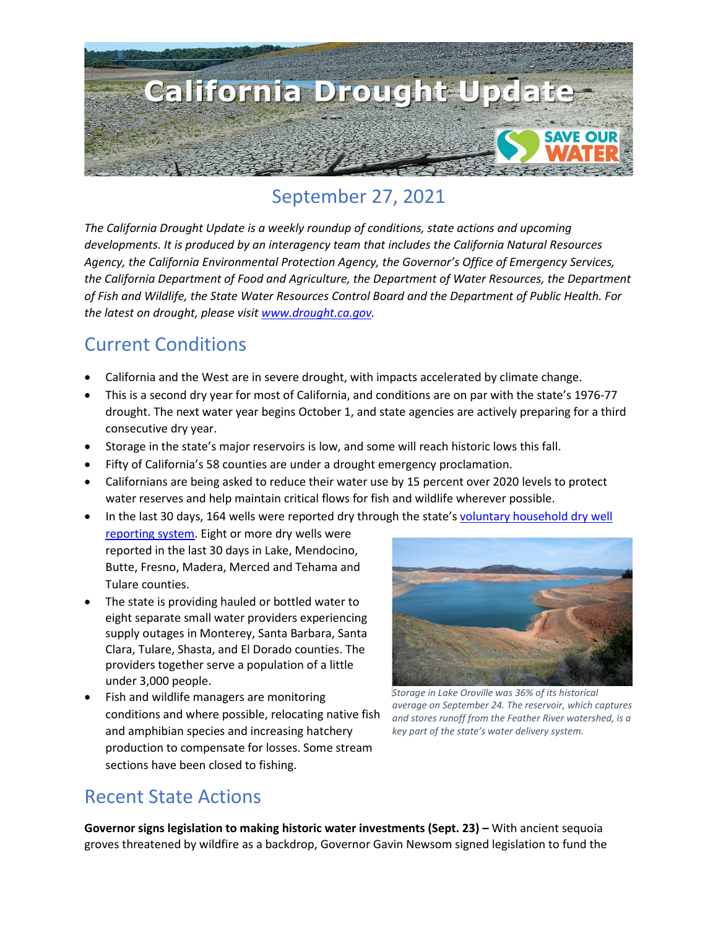

## September 27, 2021

*The California Drought Update is a weekly roundup of conditions, state actions and upcoming developments. It is produced by an interagency team that includes the California Natural Resources Agency, the California Environmental Protection Agency, the Governor's Office of Emergency Services, the California Department of Food and Agriculture, the Department of Water Resources, the Department of Fish and Wildlife, the State Water Resources Control Board and the Department of Public Health. For the latest on drought, please visit [www.drought.ca.gov.](http://www.drought.ca.gov/)* 

## Current Conditions

- California and the West are in severe drought, with impacts accelerated by climate change.
- This is a second dry year for most of California, and conditions are on par with the state's 1976-77 drought. The next water year begins October 1, and state agencies are actively preparing for a third consecutive dry year.
- Storage in the state's major reservoirs is low, and some will reach historic lows this fall.
- Fifty of California's 58 counties are under a drought emergency proclamation.
- Californians are being asked to reduce their water use by 15 percent over 2020 levels to protect water reserves and help maintain critical flows for fish and wildlife wherever possible.
- In the last 30 days, 164 wells were reported dry through the state'[s voluntary household dry well](https://mydrywell.water.ca.gov/report/)  [reporting system.](https://mydrywell.water.ca.gov/report/) Eight or more dry wells were reported in the last 30 days in Lake, Mendocino, Butte, Fresno, Madera, Merced and Tehama and Tulare counties.
- The state is providing hauled or bottled water to eight separate small water providers experiencing supply outages in Monterey, Santa Barbara, Santa Clara, Tulare, Shasta, and El Dorado counties. The providers together serve a population of a little under 3,000 people.
- Fish and wildlife managers are monitoring conditions and where possible, relocating native fish and amphibian species and increasing hatchery production to compensate for losses. Some stream sections have been closed to fishing.



*Storage in Lake Oroville was 36% of its historical average on September 24. The reservoir, which captures and stores runoff from the Feather River watershed, is a key part of the state's water delivery system.*

### Recent State Actions

**Governor signs legislation to making historic water investments (Sept. 23) –** With ancient sequoia groves threatened by wildfire as a backdrop, Governor Gavin Newsom signed legislation to fund the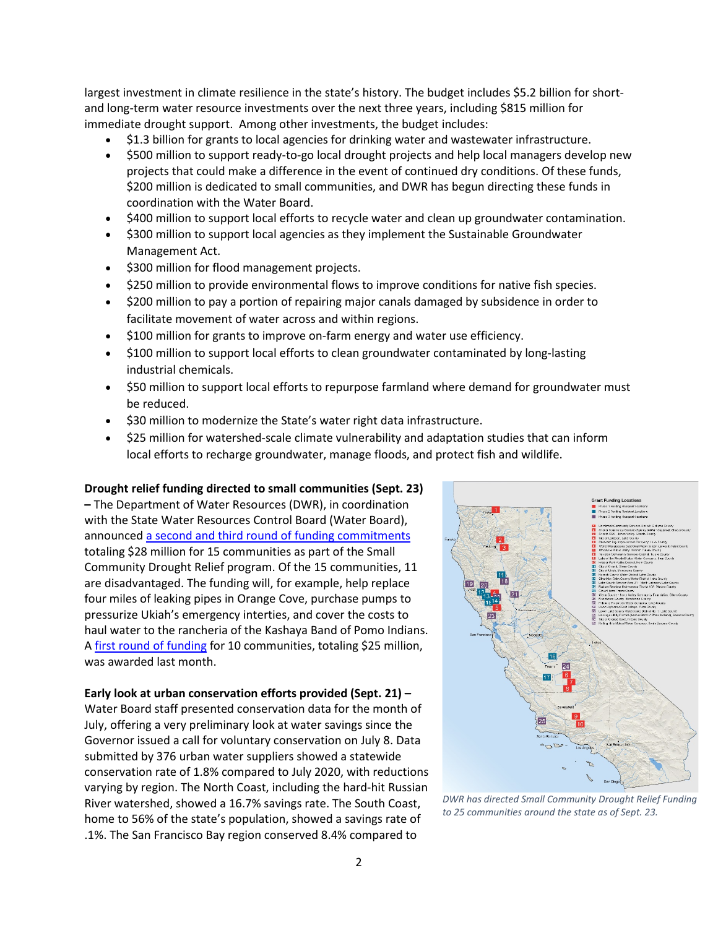largest investment in climate resilience in the state's history. The budget includes \$5.2 billion for shortand long-term water resource investments over the next three years, including \$815 million for immediate drought support. Among other investments, the budget includes:

- \$1.3 billion for grants to local agencies for drinking water and wastewater infrastructure.
- \$500 million to support ready-to-go local drought projects and help local managers develop new projects that could make a difference in the event of continued dry conditions. Of these funds, \$200 million is dedicated to small communities, and DWR has begun directing these funds in coordination with the Water Board.
- \$400 million to support local efforts to recycle water and clean up groundwater contamination.
- \$300 million to support local agencies as they implement the Sustainable Groundwater Management Act.
- \$300 million for flood management projects.
- \$250 million to provide environmental flows to improve conditions for native fish species.
- \$200 million to pay a portion of repairing major canals damaged by subsidence in order to facilitate movement of water across and within regions.
- \$100 million for grants to improve on-farm energy and water use efficiency.
- \$100 million to support local efforts to clean groundwater contaminated by long-lasting industrial chemicals.
- \$50 million to support local efforts to repurpose farmland where demand for groundwater must be reduced.
- \$30 million to modernize the State's water right data infrastructure.
- \$25 million for watershed-scale climate vulnerability and adaptation studies that can inform local efforts to recharge groundwater, manage floods, and protect fish and wildlife.

#### **Drought relief funding directed to small communities (Sept. 23)**

**–** The Department of Water Resources (DWR), in coordination with the State Water Resources Control Board (Water Board), announce[d a second and third round of funding commitments](https://water.ca.gov/News/News-Releases/2021/Sept-21/DWR-Awards-28-Million-in-Small-Community-Drought-Relief-Funding) totaling \$28 million for 15 communities as part of the Small Community Drought Relief program. Of the 15 communities, 11 are disadvantaged. The funding will, for example, help replace four miles of leaking pipes in Orange Cove, purchase pumps to pressurize Ukiah's emergency interties, and cover the costs to haul water to the rancheria of the Kashaya Band of Pomo Indians. A [first round of funding](https://water.ca.gov/News/News-Releases/2021/Aug-21/State-Agencies-Announce-First-Round-of-Commitments-for-Drought-Funding-Small-Communities) for 10 communities, totaling \$25 million, was awarded last month.

#### **Early look at urban conservation efforts provided (Sept. 21) –**

Water Board staff presented conservation data for the month of July, offering a very preliminary look at water savings since the Governor issued a call for voluntary conservation on July 8. Data submitted by 376 urban water suppliers showed a statewide conservation rate of 1.8% compared to July 2020, with reductions varying by region. The North Coast, including the hard-hit Russian River watershed, showed a 16.7% savings rate. The South Coast, home to 56% of the state's population, showed a savings rate of .1%. The San Francisco Bay region conserved 8.4% compared to



*DWR has directed Small Community Drought Relief Funding to 25 communities around the state as of Sept. 23.*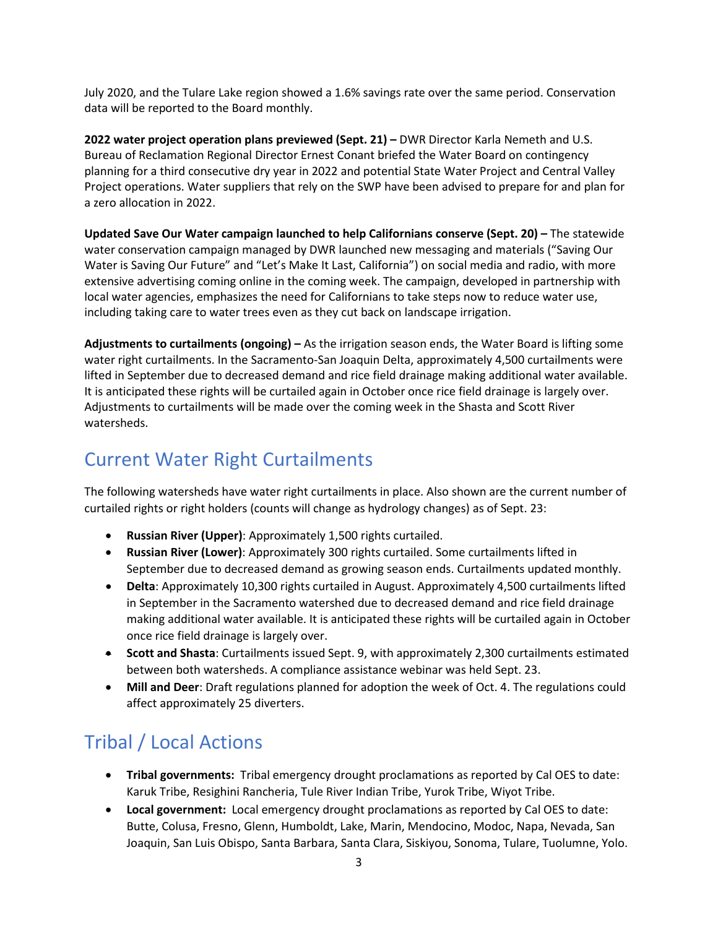July 2020, and the Tulare Lake region showed a 1.6% savings rate over the same period. Conservation data will be reported to the Board monthly.

**2022 water project operation plans previewed (Sept. 21) –** DWR Director Karla Nemeth and U.S. Bureau of Reclamation Regional Director Ernest Conant briefed the Water Board on contingency planning for a third consecutive dry year in 2022 and potential State Water Project and Central Valley Project operations. Water suppliers that rely on the SWP have been advised to prepare for and plan for a zero allocation in 2022.

**Updated Save Our Water campaign launched to help Californians conserve (Sept. 20) –** The statewide water conservation campaign managed by DWR launched new messaging and materials ("Saving Our Water is Saving Our Future" and "Let's Make It Last, California") on social media and radio, with more extensive advertising coming online in the coming week. The campaign, developed in partnership with local water agencies, emphasizes the need for Californians to take steps now to reduce water use, including taking care to water trees even as they cut back on landscape irrigation.

**Adjustments to curtailments (ongoing) –** As the irrigation season ends, the Water Board is lifting some water right curtailments. In the Sacramento-San Joaquin Delta, approximately 4,500 curtailments were lifted in September due to decreased demand and rice field drainage making additional water available. It is anticipated these rights will be curtailed again in October once rice field drainage is largely over. Adjustments to curtailments will be made over the coming week in the Shasta and Scott River watersheds.

## Current Water Right Curtailments

The following watersheds have water right curtailments in place. Also shown are the current number of curtailed rights or right holders (counts will change as hydrology changes) as of Sept. 23:

- **Russian River (Upper)**: Approximately 1,500 rights curtailed.
- **Russian River (Lower)**: Approximately 300 rights curtailed. Some curtailments lifted in September due to decreased demand as growing season ends. Curtailments updated monthly.
- **Delta**: Approximately 10,300 rights curtailed in August. Approximately 4,500 curtailments lifted in September in the Sacramento watershed due to decreased demand and rice field drainage making additional water available. It is anticipated these rights will be curtailed again in October once rice field drainage is largely over.
- **Scott and Shasta**: Curtailments issued Sept. 9, with approximately 2,300 curtailments estimated between both watersheds. A compliance assistance webinar was held Sept. 23.
- **Mill and Deer**: Draft regulations planned for adoption the week of Oct. 4. The regulations could affect approximately 25 diverters.

# Tribal / Local Actions

- **Tribal governments:** Tribal emergency drought proclamations as reported by Cal OES to date: Karuk Tribe, Resighini Rancheria, Tule River Indian Tribe, Yurok Tribe, Wiyot Tribe.
- **Local government:** Local emergency drought proclamations as reported by Cal OES to date: Butte, Colusa, Fresno, Glenn, Humboldt, Lake, Marin, Mendocino, Modoc, Napa, Nevada, San Joaquin, San Luis Obispo, Santa Barbara, Santa Clara, Siskiyou, Sonoma, Tulare, Tuolumne, Yolo.